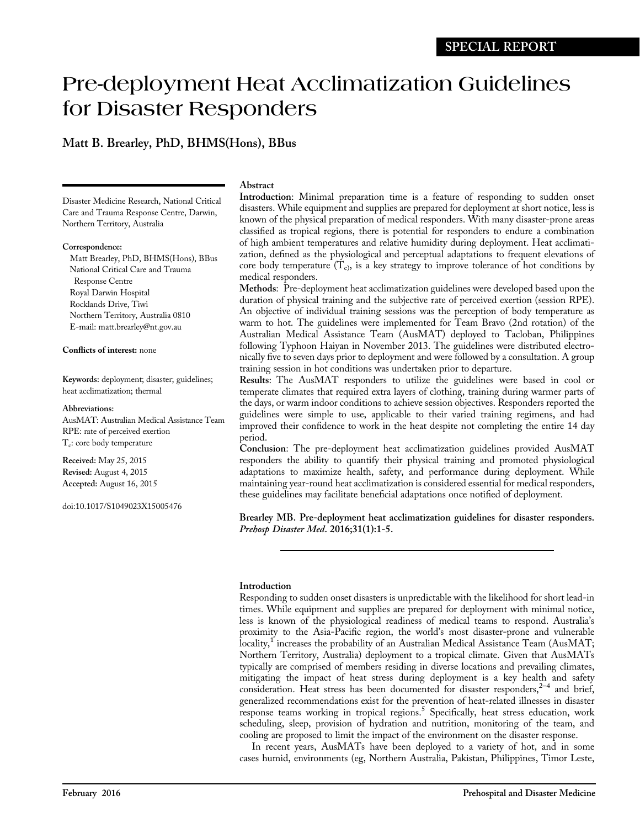# Pre-deployment Heat Acclimatization Guidelines for Disaster Responders

# Matt B. Brearley, PhD, BHMS(Hons), BBus

Disaster Medicine Research, National Critical Care and Trauma Response Centre, Darwin, Northern Territory, Australia

### Correspondence:

Matt Brearley, PhD, BHMS(Hons), BBus National Critical Care and Trauma Response Centre Royal Darwin Hospital Rocklands Drive, Tiwi Northern Territory, Australia 0810 E-mail: matt.brearley@nt.gov.au

## Conflicts of interest: none

Keywords: deployment; disaster; guidelines; heat acclimatization; thermal

## Abbreviations:

AusMAT: Australian Medical Assistance Team RPE: rate of perceived exertion  $T_c$ : core body temperature

Received: May 25, 2015 Revised: August 4, 2015 Accepted: August 16, 2015

doi:10.1017/S1049023X15005476

# Abstract

Introduction: Minimal preparation time is a feature of responding to sudden onset disasters. While equipment and supplies are prepared for deployment at short notice, less is known of the physical preparation of medical responders. With many disaster-prone areas classified as tropical regions, there is potential for responders to endure a combination of high ambient temperatures and relative humidity during deployment. Heat acclimatization, defined as the physiological and perceptual adaptations to frequent elevations of core body temperature  $(T_c)$ , is a key strategy to improve tolerance of hot conditions by medical responders.

Methods: Pre-deployment heat acclimatization guidelines were developed based upon the duration of physical training and the subjective rate of perceived exertion (session RPE). An objective of individual training sessions was the perception of body temperature as warm to hot. The guidelines were implemented for Team Bravo (2nd rotation) of the Australian Medical Assistance Team (AusMAT) deployed to Tacloban, Philippines following Typhoon Haiyan in November 2013. The guidelines were distributed electronically five to seven days prior to deployment and were followed by a consultation. A group training session in hot conditions was undertaken prior to departure.

Results: The AusMAT responders to utilize the guidelines were based in cool or temperate climates that required extra layers of clothing, training during warmer parts of the days, or warm indoor conditions to achieve session objectives. Responders reported the guidelines were simple to use, applicable to their varied training regimens, and had improved their confidence to work in the heat despite not completing the entire 14 day period.

Conclusion: The pre-deployment heat acclimatization guidelines provided AusMAT responders the ability to quantify their physical training and promoted physiological adaptations to maximize health, safety, and performance during deployment. While maintaining year-round heat acclimatization is considered essential for medical responders, these guidelines may facilitate beneficial adaptations once notified of deployment.

Brearley MB. Pre-deployment heat acclimatization guidelines for disaster responders. Prehosp Disaster Med. 2016;31(1):1-5.

# Introduction

Responding to sudden onset disasters is unpredictable with the likelihood for short lead-in times. While equipment and supplies are prepared for deployment with minimal notice, less is known of the physiological readiness of medical teams to respond. Australia's proximity to the Asia-Pacific region, the world's most disaster-prone and vulnerable locality,<sup>1</sup> increases the probability of an Australian Medical Assistance Team (AusMAT; Northern Territory, Australia) deployment to a tropical climate. Given that AusMATs typically are comprised of members residing in diverse locations and prevailing climates, mitigating the impact of heat stress during deployment is a key health and safety consideration. Heat stress has been documented for disaster responders, $2^{-4}$  $2^{-4}$  $2^{-4}$  $2^{-4}$  and brief, generalized recommendations exist for the prevention of heat-related illnesses in disaster response teams working in tropical regions.<sup>5</sup> Specifically, heat stress education, work scheduling, sleep, provision of hydration and nutrition, monitoring of the team, and cooling are proposed to limit the impact of the environment on the disaster response.

In recent years, AusMATs have been deployed to a variety of hot, and in some cases humid, environments (eg, Northern Australia, Pakistan, Philippines, Timor Leste,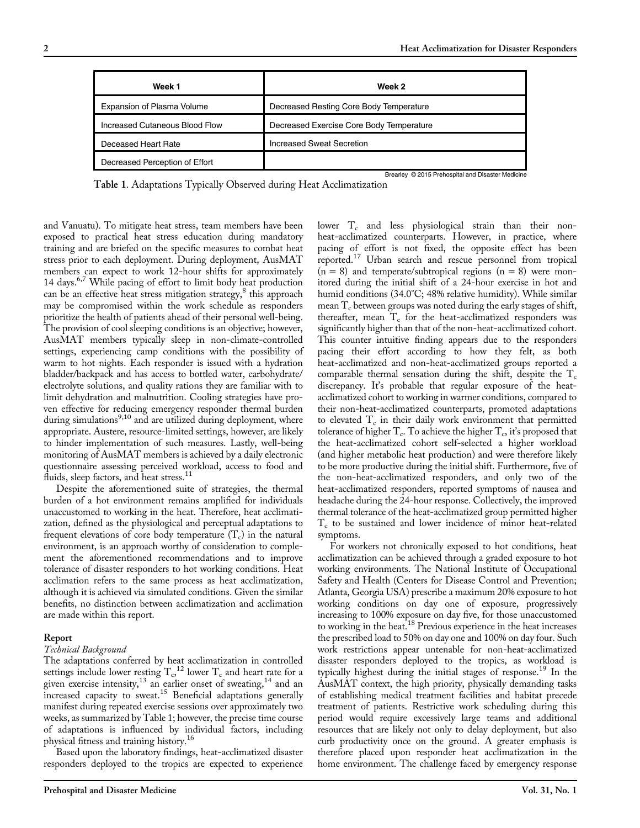| Week 1                         | Week 2                                            |
|--------------------------------|---------------------------------------------------|
| Expansion of Plasma Volume     | Decreased Resting Core Body Temperature           |
| Increased Cutaneous Blood Flow | Decreased Exercise Core Body Temperature          |
| Deceased Heart Rate            | Increased Sweat Secretion                         |
| Decreased Perception of Effort |                                                   |
|                                | Brearley © 2015 Prehospital and Disaster Medicine |

Table 1. Adaptations Typically Observed during Heat Acclimatization

and Vanuatu). To mitigate heat stress, team members have been exposed to practical heat stress education during mandatory training and are briefed on the specific measures to combat heat stress prior to each deployment. During deployment, AusMAT members can expect to work 12-hour shifts for approximately 14 days. $6.7$  $6.7$  $6.7$  While pacing of effort to limit body heat production can be an effective heat stress mitigation strategy, $\delta$  this approach may be compromised within the work schedule as responders prioritize the health of patients ahead of their personal well-being. The provision of cool sleeping conditions is an objective; however, AusMAT members typically sleep in non-climate-controlled settings, experiencing camp conditions with the possibility of warm to hot nights. Each responder is issued with a hydration bladder/backpack and has access to bottled water, carbohydrate/ electrolyte solutions, and quality rations they are familiar with to limit dehydration and malnutrition. Cooling strategies have proven effective for reducing emergency responder thermal burden during simulations<sup>[9,10](#page-3-0)</sup> and are utilized during deployment, where appropriate. Austere, resource-limited settings, however, are likely to hinder implementation of such measures. Lastly, well-being monitoring of AusMAT members is achieved by a daily electronic questionnaire assessing perceived workload, access to food and fluids, sleep factors, and heat stress.<sup>[11](#page-3-0)</sup>

Despite the aforementioned suite of strategies, the thermal burden of a hot environment remains amplified for individuals unaccustomed to working in the heat. Therefore, heat acclimatization, defined as the physiological and perceptual adaptations to frequent elevations of core body temperature  $(T_c)$  in the natural environment, is an approach worthy of consideration to complement the aforementioned recommendations and to improve tolerance of disaster responders to hot working conditions. Heat acclimation refers to the same process as heat acclimatization, although it is achieved via simulated conditions. Given the similar benefits, no distinction between acclimatization and acclimation are made within this report.

#### Report

#### Technical Background

The adaptations conferred by heat acclimatization in controlled settings include lower resting  $T_c$ ,<sup>[12](#page-3-0)</sup> lower  $T_c$  and heart rate for a given exercise intensity,<sup>[13](#page-3-0)</sup> an earlier onset of sweating,<sup>[14](#page-3-0)</sup> and an  $\frac{1}{2}$  increased capacity to sweat.<sup>[15](#page-3-0)</sup> Beneficial adaptations generally manifest during repeated exercise sessions over approximately two weeks, as summarized by Table 1; however, the precise time course of adaptations is influenced by individual factors, including physical fitness and training history.[16](#page-3-0)

Based upon the laboratory findings, heat-acclimatized disaster responders deployed to the tropics are expected to experience lower  $T_c$  and less physiological strain than their nonheat-acclimatized counterparts. However, in practice, where pacing of effort is not fixed, the opposite effect has been reported.[17](#page-3-0) Urban search and rescue personnel from tropical  $(n = 8)$  and temperate/subtropical regions  $(n = 8)$  were monitored during the initial shift of a 24-hour exercise in hot and humid conditions (34.0°C; 48% relative humidity). While similar mean  $T_c$  between groups was noted during the early stages of shift, thereafter, mean  $T_c$  for the heat-acclimatized responders was significantly higher than that of the non-heat-acclimatized cohort. This counter intuitive finding appears due to the responders pacing their effort according to how they felt, as both heat-acclimatized and non-heat-acclimatized groups reported a comparable thermal sensation during the shift, despite the  $T_c$ discrepancy. It's probable that regular exposure of the heatacclimatized cohort to working in warmer conditions, compared to their non-heat-acclimatized counterparts, promoted adaptations to elevated  $T_c$  in their daily work environment that permitted tolerance of higher  $T_c$ . To achieve the higher  $T_c$ , it's proposed that the heat-acclimatized cohort self-selected a higher workload (and higher metabolic heat production) and were therefore likely to be more productive during the initial shift. Furthermore, five of the non-heat-acclimatized responders, and only two of the heat-acclimatized responders, reported symptoms of nausea and headache during the 24-hour response. Collectively, the improved thermal tolerance of the heat-acclimatized group permitted higher T<sub>c</sub> to be sustained and lower incidence of minor heat-related symptoms.

For workers not chronically exposed to hot conditions, heat acclimatization can be achieved through a graded exposure to hot working environments. The National Institute of Occupational Safety and Health (Centers for Disease Control and Prevention; Atlanta, Georgia USA) prescribe a maximum 20% exposure to hot working conditions on day one of exposure, progressively increasing to 100% exposure on day five, for those unaccustomed to working in the heat.<sup>[18](#page-3-0)</sup> Previous experience in the heat increases the prescribed load to 50% on day one and 100% on day four. Such work restrictions appear untenable for non-heat-acclimatized disaster responders deployed to the tropics, as workload is typically highest during the initial stages of response.<sup>[19](#page-4-0)</sup> In the AusMAT context, the high priority, physically demanding tasks of establishing medical treatment facilities and habitat precede treatment of patients. Restrictive work scheduling during this period would require excessively large teams and additional resources that are likely not only to delay deployment, but also curb productivity once on the ground. A greater emphasis is therefore placed upon responder heat acclimatization in the home environment. The challenge faced by emergency response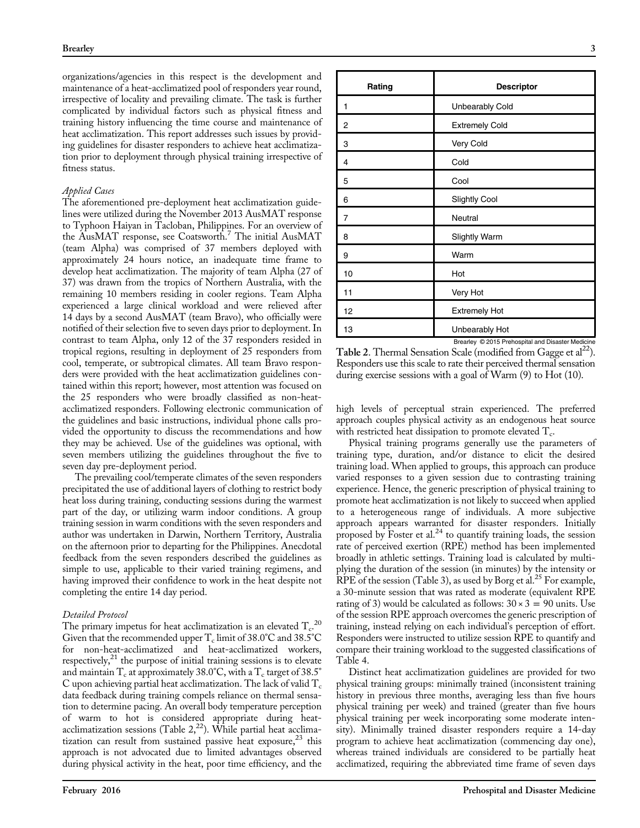organizations/agencies in this respect is the development and maintenance of a heat-acclimatized pool of responders year round, irrespective of locality and prevailing climate. The task is further complicated by individual factors such as physical fitness and training history influencing the time course and maintenance of heat acclimatization. This report addresses such issues by providing guidelines for disaster responders to achieve heat acclimatization prior to deployment through physical training irrespective of fitness status.

## Applied Cases

The aforementioned pre-deployment heat acclimatization guidelines were utilized during the November 2013 AusMAT response to Typhoon Haiyan in Tacloban, Philippines. For an overview of the AusMAT response, see Coatsworth.<sup>[7](#page-3-0)</sup> The initial AusMAT (team Alpha) was comprised of 37 members deployed with approximately 24 hours notice, an inadequate time frame to develop heat acclimatization. The majority of team Alpha (27 of 37) was drawn from the tropics of Northern Australia, with the remaining 10 members residing in cooler regions. Team Alpha experienced a large clinical workload and were relieved after 14 days by a second AusMAT (team Bravo), who officially were notified of their selection five to seven days prior to deployment. In contrast to team Alpha, only 12 of the 37 responders resided in tropical regions, resulting in deployment of 25 responders from cool, temperate, or subtropical climates. All team Bravo responders were provided with the heat acclimatization guidelines contained within this report; however, most attention was focused on the 25 responders who were broadly classified as non-heatacclimatized responders. Following electronic communication of the guidelines and basic instructions, individual phone calls provided the opportunity to discuss the recommendations and how they may be achieved. Use of the guidelines was optional, with seven members utilizing the guidelines throughout the five to seven day pre-deployment period.

The prevailing cool/temperate climates of the seven responders precipitated the use of additional layers of clothing to restrict body heat loss during training, conducting sessions during the warmest part of the day, or utilizing warm indoor conditions. A group training session in warm conditions with the seven responders and author was undertaken in Darwin, Northern Territory, Australia on the afternoon prior to departing for the Philippines. Anecdotal feedback from the seven responders described the guidelines as simple to use, applicable to their varied training regimens, and having improved their confidence to work in the heat despite not completing the entire 14 day period.

#### Detailed Protocol

The primary impetus for heat acclimatization is an elevated  $T_c^{20}$  $T_c^{20}$  $T_c^{20}$ Given that the recommended upper  $T_c$  limit of 38.0°C and 38.5°C for non-heat-acclimatized and heat-acclimatized workers, respectively, $21$  the purpose of initial training sessions is to elevate and maintain  $T_c$  at approximately 38.0°C, with a  $T_c$  target of 38.5° C upon achieving partial heat acclimatization. The lack of valid  $T_c$ data feedback during training compels reliance on thermal sensation to determine pacing. An overall body temperature perception of warm to hot is considered appropriate during heatacclimatization sessions (Table  $2,^{22}$ ). While partial heat acclimatization can result from sustained passive heat exposure,  $23$  this approach is not advocated due to limited advantages observed during physical activity in the heat, poor time efficiency, and the

| <b>Descriptor</b>                                                   |
|---------------------------------------------------------------------|
| Unbearably Cold                                                     |
| <b>Extremely Cold</b>                                               |
| Very Cold                                                           |
| Cold                                                                |
| Cool                                                                |
| <b>Slightly Cool</b>                                                |
| Neutral                                                             |
| <b>Slightly Warm</b>                                                |
| Warm                                                                |
| Hot                                                                 |
| Very Hot                                                            |
| <b>Extremely Hot</b>                                                |
| Unbearably Hot<br>Brearley © 2015 Prehospital and Disaster Medicine |
|                                                                     |

Table 2. Thermal Sensation Scale (modified from Gagge et  $al<sup>22</sup>$ ). Responders use this scale to rate their perceived thermal sensation during exercise sessions with a goal of Warm (9) to Hot (10).

high levels of perceptual strain experienced. The preferred approach couples physical activity as an endogenous heat source with restricted heat dissipation to promote elevated  $T_c$ .

Physical training programs generally use the parameters of training type, duration, and/or distance to elicit the desired training load. When applied to groups, this approach can produce varied responses to a given session due to contrasting training experience. Hence, the generic prescription of physical training to promote heat acclimatization is not likely to succeed when applied to a heterogeneous range of individuals. A more subjective approach appears warranted for disaster responders. Initially proposed by Foster et al.<sup>[24](#page-4-0)</sup> to quantify training loads, the session rate of perceived exertion (RPE) method has been implemented broadly in athletic settings. Training load is calculated by multiplying the duration of the session (in minutes) by the intensity or RPE of the session ([Table 3](#page-3-0)), as used by Borg et al.<sup>[25](#page-4-0)</sup> For example, a 30-minute session that was rated as moderate (equivalent RPE rating of 3) would be calculated as follows:  $30 \times 3 = 90$  units. Use of the session RPE approach overcomes the generic prescription of training, instead relying on each individual's perception of effort. Responders were instructed to utilize session RPE to quantify and compare their training workload to the suggested classifications of [Table 4](#page-3-0).

Distinct heat acclimatization guidelines are provided for two physical training groups: minimally trained (inconsistent training history in previous three months, averaging less than five hours physical training per week) and trained (greater than five hours physical training per week incorporating some moderate intensity). Minimally trained disaster responders require a 14-day program to achieve heat acclimatization (commencing day one), whereas trained individuals are considered to be partially heat acclimatized, requiring the abbreviated time frame of seven days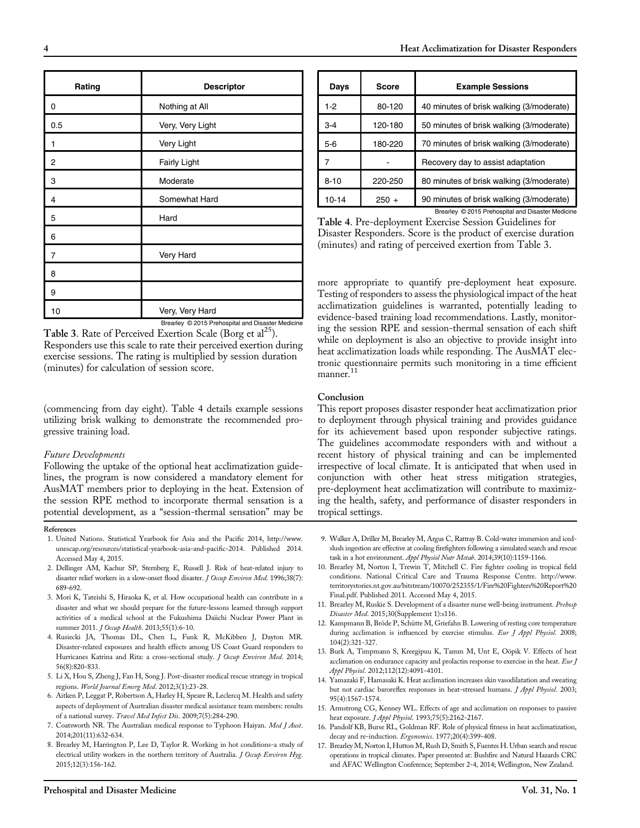<span id="page-3-0"></span>

| Rating         | Descriptor          |
|----------------|---------------------|
| 0              | Nothing at All      |
| 0.5            | Very, Very Light    |
| 1              | Very Light          |
| $\overline{2}$ | <b>Fairly Light</b> |
| 3              | Moderate            |
| 4              | Somewhat Hard       |
| 5              | Hard                |
| 6              |                     |
| 7              | Very Hard           |
| 8              |                     |
| 9              |                     |
| 10             | Very, Very Hard     |

Brearley © 2015 Prehospital and Disaster Medicine Table 3. Rate of Perceived Exertion Scale (Borg et al<sup>25</sup>). Responders use this scale to rate their perceived exertion during

exercise sessions. The rating is multiplied by session duration (minutes) for calculation of session score.

(commencing from day eight). Table 4 details example sessions utilizing brisk walking to demonstrate the recommended progressive training load.

# Future Developments

Following the uptake of the optional heat acclimatization guidelines, the program is now considered a mandatory element for AusMAT members prior to deploying in the heat. Extension of the session RPE method to incorporate thermal sensation is a potential development, as a "session-thermal sensation" may be

# References

- 1. United Nations. Statistical Yearbook for Asia and the Pacific 2014, [http://www.](http://www.unescap.org/resources/statistical-yearbook-asia-and-pacific-2014) [unescap.org/resources/statistical-yearbook-asia-and-paci](http://www.unescap.org/resources/statistical-yearbook-asia-and-pacific-2014)fic-2014. Published 2014. Accessed May 4, 2015.
- 2. Dellinger AM, Kachur SP, Sternberg E, Russell J. Risk of heat-related injury to disaster relief workers in a slow-onset flood disaster. *J Occup Environ Med*. 1996;38(7): 689-692.
- 3. Mori K, Tateishi S, Hiraoka K, et al. How occupational health can contribute in a disaster and what we should prepare for the future-lessons learned through support activities of a medical school at the Fukushima Daiichi Nuclear Power Plant in summer 2011. J Occup Health. 2013;55(1):6-10.
- 4. Rusiecki JA, Thomas DL, Chen L, Funk R, McKibben J, Dayton MR. Disaster-related exposures and health effects among US Coast Guard responders to Hurricanes Katrina and Rita: a cross-sectional study. J Occup Environ Med. 2014; 56(8):820-833.
- 5. Li X, Hou S, Zheng J, Fan H, Song J. Post-disaster medical rescue strategy in tropical regions. World Journal Emerg Med. 2012;3(1):23-28.
- 6. Aitken P, Leggat P, Robertson A, Harley H, Speare R, Leclercq M. Health and safety aspects of deployment of Australian disaster medical assistance team members: results of a national survey. Travel Med Infect Dis. 2009;7(5):284-290.
- 7. Coatsworth NR. The Australian medical response to Typhoon Haiyan. Med J Aust. 2014;201(11):632-634.
- 8. Brearley M, Harrington P, Lee D, Taylor R. Working in hot conditions-a study of electrical utility workers in the northern territory of Australia. J Occup Environ Hyg. 2015;12(3):156-162.

| Days      | <b>Score</b> | <b>Example Sessions</b>                           |
|-----------|--------------|---------------------------------------------------|
| $1-2$     | 80-120       | 40 minutes of brisk walking (3/moderate)          |
| $3 - 4$   | 120-180      | 50 minutes of brisk walking (3/moderate)          |
| $5-6$     | 180-220      | 70 minutes of brisk walking (3/moderate)          |
|           |              | Recovery day to assist adaptation                 |
| $8 - 10$  | 220-250      | 80 minutes of brisk walking (3/moderate)          |
| $10 - 14$ | $250 +$      | 90 minutes of brisk walking (3/moderate)          |
|           |              | Brearley © 2015 Prehospital and Disaster Medicine |

Table 4. Pre-deployment Exercise Session Guidelines for Disaster Responders. Score is the product of exercise duration (minutes) and rating of perceived exertion from Table 3.

more appropriate to quantify pre-deployment heat exposure. Testing of responders to assess the physiological impact of the heat acclimatization guidelines is warranted, potentially leading to evidence-based training load recommendations. Lastly, monitoring the session RPE and session-thermal sensation of each shift while on deployment is also an objective to provide insight into heat acclimatization loads while responding. The AusMAT electronic questionnaire permits such monitoring in a time efficient manner.<sup>11</sup>

## Conclusion

This report proposes disaster responder heat acclimatization prior to deployment through physical training and provides guidance for its achievement based upon responder subjective ratings. The guidelines accommodate responders with and without a recent history of physical training and can be implemented irrespective of local climate. It is anticipated that when used in conjunction with other heat stress mitigation strategies, pre-deployment heat acclimatization will contribute to maximizing the health, safety, and performance of disaster responders in tropical settings.

- 9. Walker A, Driller M, Brearley M, Argus C, Rattray B. Cold-water immersion and icedslush ingestion are effective at cooling firefighters following a simulated search and rescue task in a hot environment. Appl Physiol Nutr Metab. 2014;39(10):1159-1166.
- 10. Brearley M, Norton I, Trewin T, Mitchell C. Fire fighter cooling in tropical field conditions. National Critical Care and Trauma Response Centre. http://www. territorystories.nt.gov.au/bitstream/10070/252355/1/Fire%20Fighters%20Report%20 Final.pdf. Published 2011. Accessed May 4, 2015.
- 11. Brearley M, Ruskie S. Development of a disaster nurse well-being instrument. Prehosp Disaster Med. 2015;30(Supplement 1):s116.
- 12. Kampmann B, Bröde P, Schütte M, Griefahn B. Lowering of resting core temperature during acclimation is influenced by exercise stimulus. Eur J Appl Physiol. 2008; 104(2):321-327.
- 13. Burk A, Timpmann S, Kreegipuu K, Tamm M, Unt E, Oöpik V. Effects of heat acclimation on endurance capacity and prolactin response to exercise in the heat.  $EurJ$ Appl Physiol. 2012;112(12):4091-4101.
- 14. Yamazaki F, Hamasaki K. Heat acclimation increases skin vasodilatation and sweating but not cardiac baroreflex responses in heat-stressed humans. J Appl Physiol. 2003; 95(4):1567-1574.
- 15. Armstrong CG, Kenney WL. Effects of age and acclimation on responses to passive heat exposure. *J Appl Physiol.* 1993;75(5):2162-2167.
- 16. Pandolf KB, Burse RL, Goldman RF. Role of physical fitness in heat acclimatization, decay and re-induction. Ergonomics. 1977;20(4):399-408.
- 17. Brearley M, Norton I, Hutton M, Rush D, Smith S, Fuentes H. Urban search and rescue operations in tropical climates. Paper presented at: Bushfire and Natural Hazards CRC and AFAC Wellington Conference; September 2-4, 2014; Wellington, New Zealand.